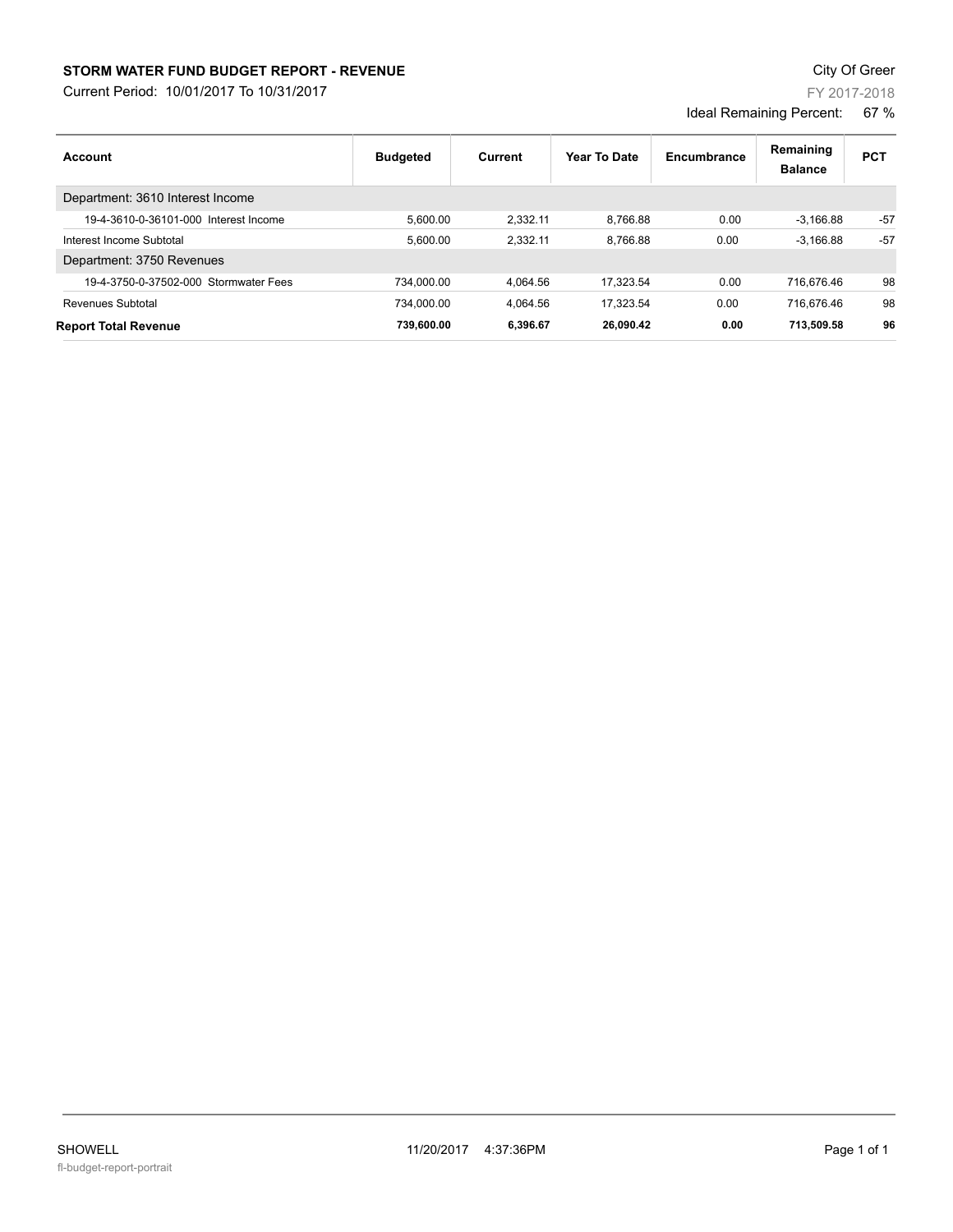## **STORM WATER FUND BUDGET REPORT - REVENUE CONTEXT AND REPORT ASSESSMENT OF A STORM WATER FUND BUDGET REPORT - REVENUE**

Current Period: 10/01/2017 To 10/31/2017

| Account                               | <b>Budgeted</b> | Current  | Year To Date | Encumbrance | Remaining<br><b>Balance</b> | <b>PCT</b> |
|---------------------------------------|-----------------|----------|--------------|-------------|-----------------------------|------------|
| Department: 3610 Interest Income      |                 |          |              |             |                             |            |
| 19-4-3610-0-36101-000 Interest Income | 5.600.00        | 2.332.11 | 8.766.88     | 0.00        | $-3.166.88$                 | $-57$      |
| Interest Income Subtotal              | 5.600.00        | 2.332.11 | 8.766.88     | 0.00        | $-3.166.88$                 | $-57$      |
| Department: 3750 Revenues             |                 |          |              |             |                             |            |
| 19-4-3750-0-37502-000 Stormwater Fees | 734.000.00      | 4.064.56 | 17.323.54    | 0.00        | 716.676.46                  | 98         |
| Revenues Subtotal                     | 734.000.00      | 4.064.56 | 17.323.54    | 0.00        | 716.676.46                  | 98         |
| <b>Report Total Revenue</b>           | 739.600.00      | 6.396.67 | 26.090.42    | 0.00        | 713.509.58                  | 96         |

FY 2017-2018

Ideal Remaining Percent: 67 %